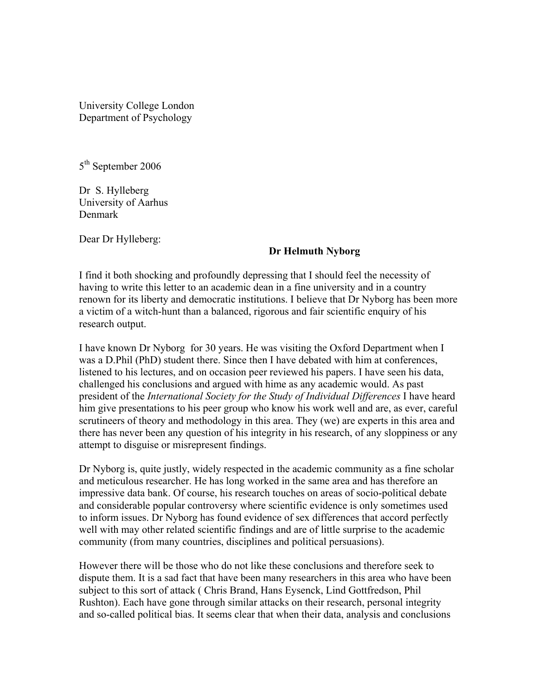University College London Department of Psychology

5<sup>th</sup> September 2006

Dr S. Hylleberg University of Aarhus Denmark

Dear Dr Hylleberg:

## **Dr Helmuth Nyborg**

I find it both shocking and profoundly depressing that I should feel the necessity of having to write this letter to an academic dean in a fine university and in a country renown for its liberty and democratic institutions. I believe that Dr Nyborg has been more a victim of a witch-hunt than a balanced, rigorous and fair scientific enquiry of his research output.

I have known Dr Nyborg for 30 years. He was visiting the Oxford Department when I was a D.Phil (PhD) student there. Since then I have debated with him at conferences, listened to his lectures, and on occasion peer reviewed his papers. I have seen his data, challenged his conclusions and argued with hime as any academic would. As past president of the *International Society for the Study of Individual Differences* I have heard him give presentations to his peer group who know his work well and are, as ever, careful scrutineers of theory and methodology in this area. They (we) are experts in this area and there has never been any question of his integrity in his research, of any sloppiness or any attempt to disguise or misrepresent findings.

Dr Nyborg is, quite justly, widely respected in the academic community as a fine scholar and meticulous researcher. He has long worked in the same area and has therefore an impressive data bank. Of course, his research touches on areas of socio-political debate and considerable popular controversy where scientific evidence is only sometimes used to inform issues. Dr Nyborg has found evidence of sex differences that accord perfectly well with may other related scientific findings and are of little surprise to the academic community (from many countries, disciplines and political persuasions).

However there will be those who do not like these conclusions and therefore seek to dispute them. It is a sad fact that have been many researchers in this area who have been subject to this sort of attack ( Chris Brand, Hans Eysenck, Lind Gottfredson, Phil Rushton). Each have gone through similar attacks on their research, personal integrity and so-called political bias. It seems clear that when their data, analysis and conclusions